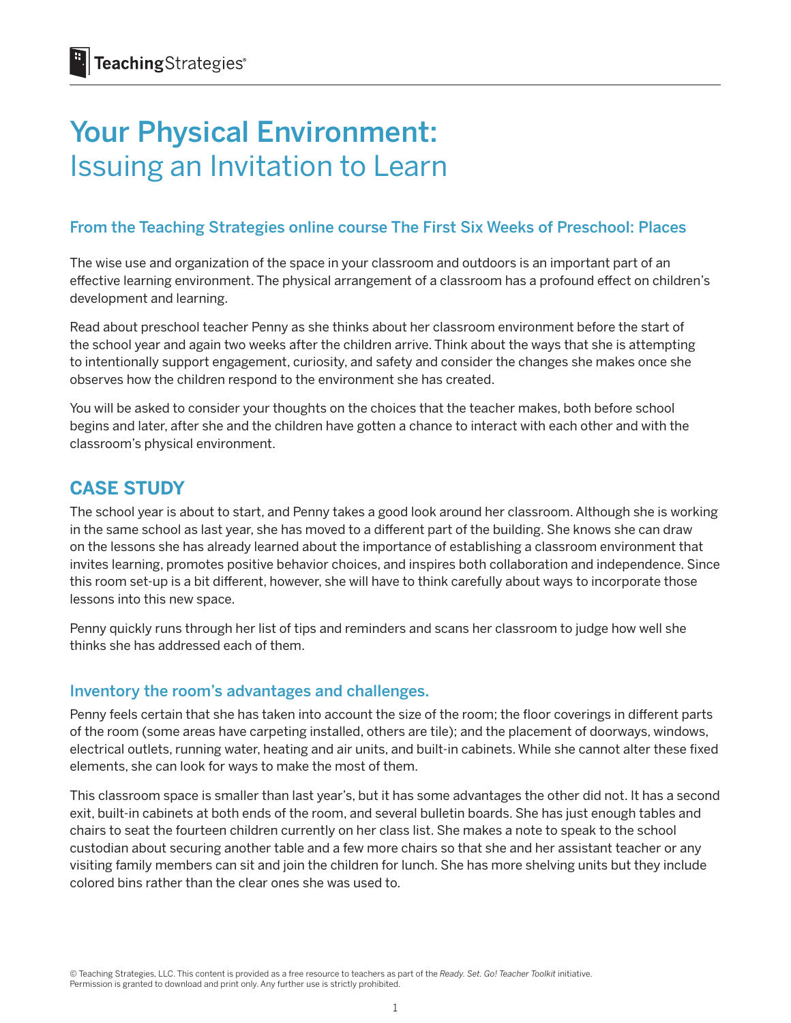# Your Physical Environment: Issuing an Invitation to Learn

# From the Teaching Strategies online course The First Six Weeks of Preschool: Places

The wise use and organization of the space in your classroom and outdoors is an important part of an effective learning environment. The physical arrangement of a classroom has a profound effect on children's development and learning.

Read about preschool teacher Penny as she thinks about her classroom environment before the start of the school year and again two weeks after the children arrive. Think about the ways that she is attempting to intentionally support engagement, curiosity, and safety and consider the changes she makes once she observes how the children respond to the environment she has created.

You will be asked to consider your thoughts on the choices that the teacher makes, both before school begins and later, after she and the children have gotten a chance to interact with each other and with the classroom's physical environment.

# **CASE STUDY**

The school year is about to start, and Penny takes a good look around her classroom. Although she is working in the same school as last year, she has moved to a different part of the building. She knows she can draw on the lessons she has already learned about the importance of establishing a classroom environment that invites learning, promotes positive behavior choices, and inspires both collaboration and independence. Since this room set-up is a bit different, however, she will have to think carefully about ways to incorporate those lessons into this new space.

Penny quickly runs through her list of tips and reminders and scans her classroom to judge how well she thinks she has addressed each of them.

### Inventory the room's advantages and challenges.

Penny feels certain that she has taken into account the size of the room; the floor coverings in different parts of the room (some areas have carpeting installed, others are tile); and the placement of doorways, windows, electrical outlets, running water, heating and air units, and built-in cabinets. While she cannot alter these fixed elements, she can look for ways to make the most of them.

This classroom space is smaller than last year's, but it has some advantages the other did not. It has a second exit, built-in cabinets at both ends of the room, and several bulletin boards. She has just enough tables and chairs to seat the fourteen children currently on her class list. She makes a note to speak to the school custodian about securing another table and a few more chairs so that she and her assistant teacher or any visiting family members can sit and join the children for lunch. She has more shelving units but they include colored bins rather than the clear ones she was used to.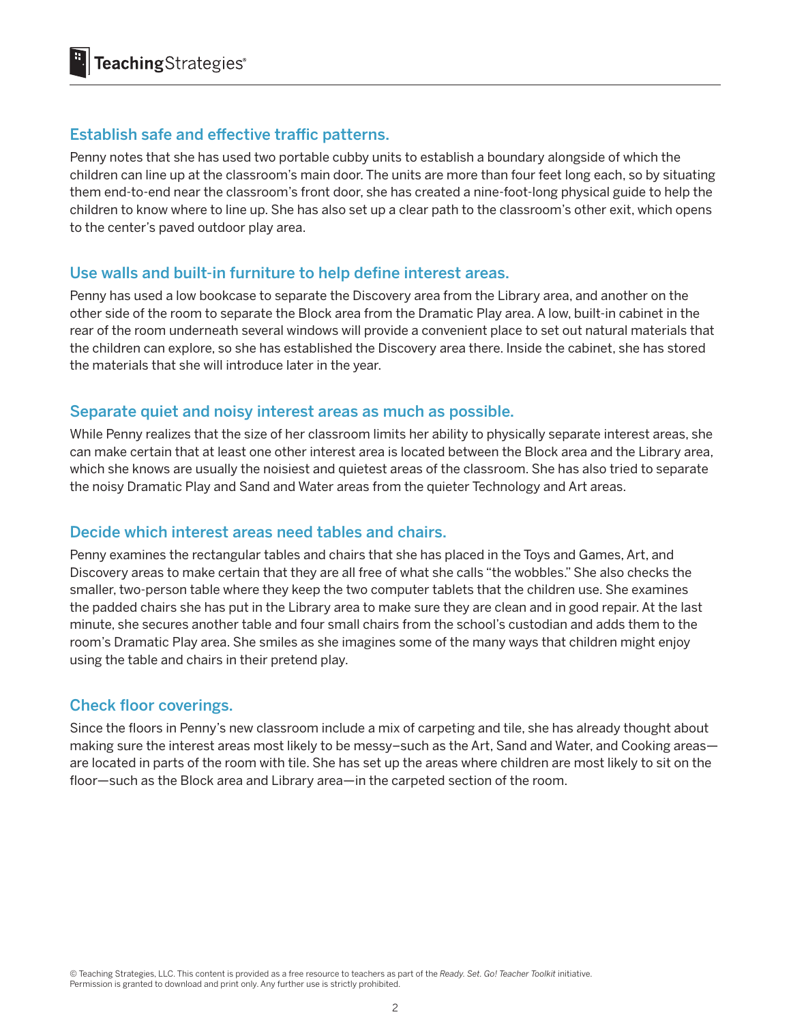## Establish safe and effective traffic patterns.

Penny notes that she has used two portable cubby units to establish a boundary alongside of which the children can line up at the classroom's main door. The units are more than four feet long each, so by situating them end-to-end near the classroom's front door, she has created a nine-foot-long physical guide to help the children to know where to line up. She has also set up a clear path to the classroom's other exit, which opens to the center's paved outdoor play area.

#### Use walls and built-in furniture to help define interest areas.

Penny has used a low bookcase to separate the Discovery area from the Library area, and another on the other side of the room to separate the Block area from the Dramatic Play area. A low, built-in cabinet in the rear of the room underneath several windows will provide a convenient place to set out natural materials that the children can explore, so she has established the Discovery area there. Inside the cabinet, she has stored the materials that she will introduce later in the year.

#### Separate quiet and noisy interest areas as much as possible.

While Penny realizes that the size of her classroom limits her ability to physically separate interest areas, she can make certain that at least one other interest area is located between the Block area and the Library area, which she knows are usually the noisiest and quietest areas of the classroom. She has also tried to separate the noisy Dramatic Play and Sand and Water areas from the quieter Technology and Art areas.

#### Decide which interest areas need tables and chairs.

Penny examines the rectangular tables and chairs that she has placed in the Toys and Games, Art, and Discovery areas to make certain that they are all free of what she calls "the wobbles." She also checks the smaller, two-person table where they keep the two computer tablets that the children use. She examines the padded chairs she has put in the Library area to make sure they are clean and in good repair. At the last minute, she secures another table and four small chairs from the school's custodian and adds them to the room's Dramatic Play area. She smiles as she imagines some of the many ways that children might enjoy using the table and chairs in their pretend play.

### Check floor coverings.

Since the floors in Penny's new classroom include a mix of carpeting and tile, she has already thought about making sure the interest areas most likely to be messy–such as the Art, Sand and Water, and Cooking areas are located in parts of the room with tile. She has set up the areas where children are most likely to sit on the floor—such as the Block area and Library area—in the carpeted section of the room.

© Teaching Strategies, LLC. This content is provided as a free resource to teachers as part of the *Ready. Set. Go! Teacher Toolkit* initiative. Permission is granted to download and print only. Any further use is strictly prohibited.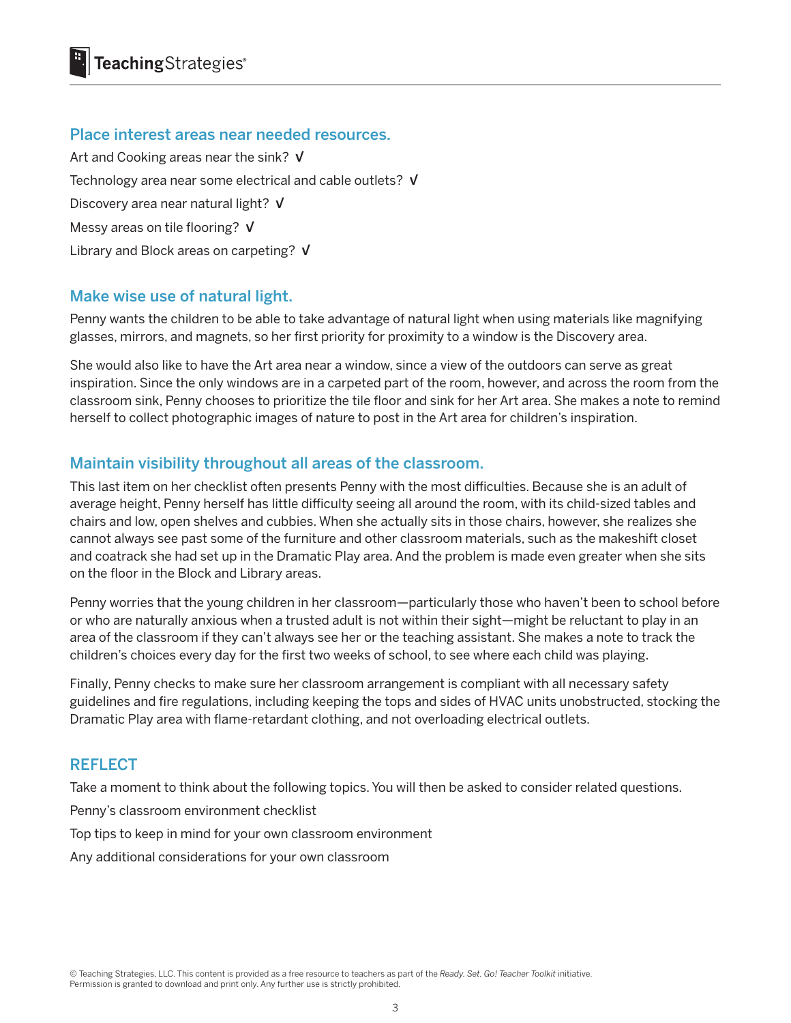#### Place interest areas near needed resources.

Art and Cooking areas near the sink? V Technology area near some electrical and cable outlets?  $V$ Discovery area near natural light? V Messy areas on tile flooring? V Library and Block areas on carpeting? V

# Make wise use of natural light.

Penny wants the children to be able to take advantage of natural light when using materials like magnifying glasses, mirrors, and magnets, so her first priority for proximity to a window is the Discovery area.

She would also like to have the Art area near a window, since a view of the outdoors can serve as great inspiration. Since the only windows are in a carpeted part of the room, however, and across the room from the classroom sink, Penny chooses to prioritize the tile floor and sink for her Art area. She makes a note to remind herself to collect photographic images of nature to post in the Art area for children's inspiration.

# Maintain visibility throughout all areas of the classroom.

This last item on her checklist often presents Penny with the most difficulties. Because she is an adult of average height, Penny herself has little difficulty seeing all around the room, with its child-sized tables and chairs and low, open shelves and cubbies. When she actually sits in those chairs, however, she realizes she cannot always see past some of the furniture and other classroom materials, such as the makeshift closet and coatrack she had set up in the Dramatic Play area. And the problem is made even greater when she sits on the floor in the Block and Library areas.

Penny worries that the young children in her classroom—particularly those who haven't been to school before or who are naturally anxious when a trusted adult is not within their sight—might be reluctant to play in an area of the classroom if they can't always see her or the teaching assistant. She makes a note to track the children's choices every day for the first two weeks of school, to see where each child was playing.

Finally, Penny checks to make sure her classroom arrangement is compliant with all necessary safety guidelines and fire regulations, including keeping the tops and sides of HVAC units unobstructed, stocking the Dramatic Play area with flame-retardant clothing, and not overloading electrical outlets.

### **REFLECT**

Take a moment to think about the following topics. You will then be asked to consider related questions.

Penny's classroom environment checklist

Top tips to keep in mind for your own classroom environment

Any additional considerations for your own classroom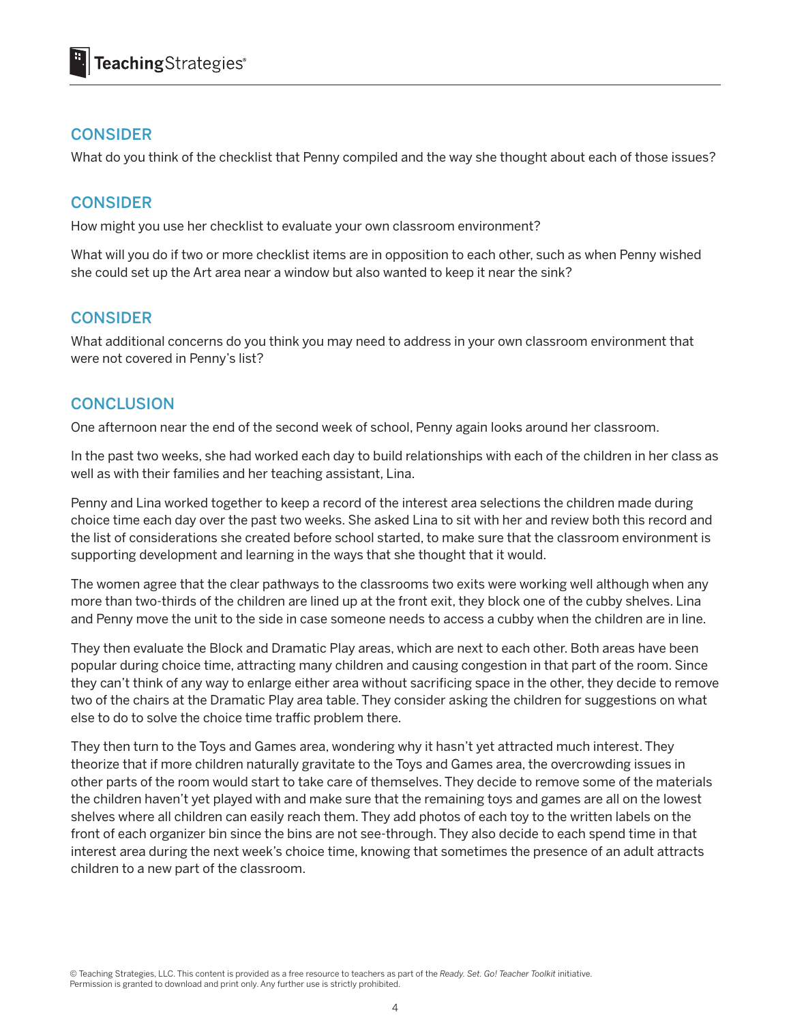# **CONSIDER**

What do you think of the checklist that Penny compiled and the way she thought about each of those issues?

# **CONSIDER**

How might you use her checklist to evaluate your own classroom environment?

What will you do if two or more checklist items are in opposition to each other, such as when Penny wished she could set up the Art area near a window but also wanted to keep it near the sink?

# **CONSIDER**

What additional concerns do you think you may need to address in your own classroom environment that were not covered in Penny's list?

### **CONCLUSION**

One afternoon near the end of the second week of school, Penny again looks around her classroom.

In the past two weeks, she had worked each day to build relationships with each of the children in her class as well as with their families and her teaching assistant, Lina.

Penny and Lina worked together to keep a record of the interest area selections the children made during choice time each day over the past two weeks. She asked Lina to sit with her and review both this record and the list of considerations she created before school started, to make sure that the classroom environment is supporting development and learning in the ways that she thought that it would.

The women agree that the clear pathways to the classrooms two exits were working well although when any more than two-thirds of the children are lined up at the front exit, they block one of the cubby shelves. Lina and Penny move the unit to the side in case someone needs to access a cubby when the children are in line.

They then evaluate the Block and Dramatic Play areas, which are next to each other. Both areas have been popular during choice time, attracting many children and causing congestion in that part of the room. Since they can't think of any way to enlarge either area without sacrificing space in the other, they decide to remove two of the chairs at the Dramatic Play area table. They consider asking the children for suggestions on what else to do to solve the choice time traffic problem there.

They then turn to the Toys and Games area, wondering why it hasn't yet attracted much interest. They theorize that if more children naturally gravitate to the Toys and Games area, the overcrowding issues in other parts of the room would start to take care of themselves. They decide to remove some of the materials the children haven't yet played with and make sure that the remaining toys and games are all on the lowest shelves where all children can easily reach them. They add photos of each toy to the written labels on the front of each organizer bin since the bins are not see-through. They also decide to each spend time in that interest area during the next week's choice time, knowing that sometimes the presence of an adult attracts children to a new part of the classroom.

© Teaching Strategies, LLC. This content is provided as a free resource to teachers as part of the *Ready. Set. Go! Teacher Toolkit* initiative. Permission is granted to download and print only. Any further use is strictly prohibited.